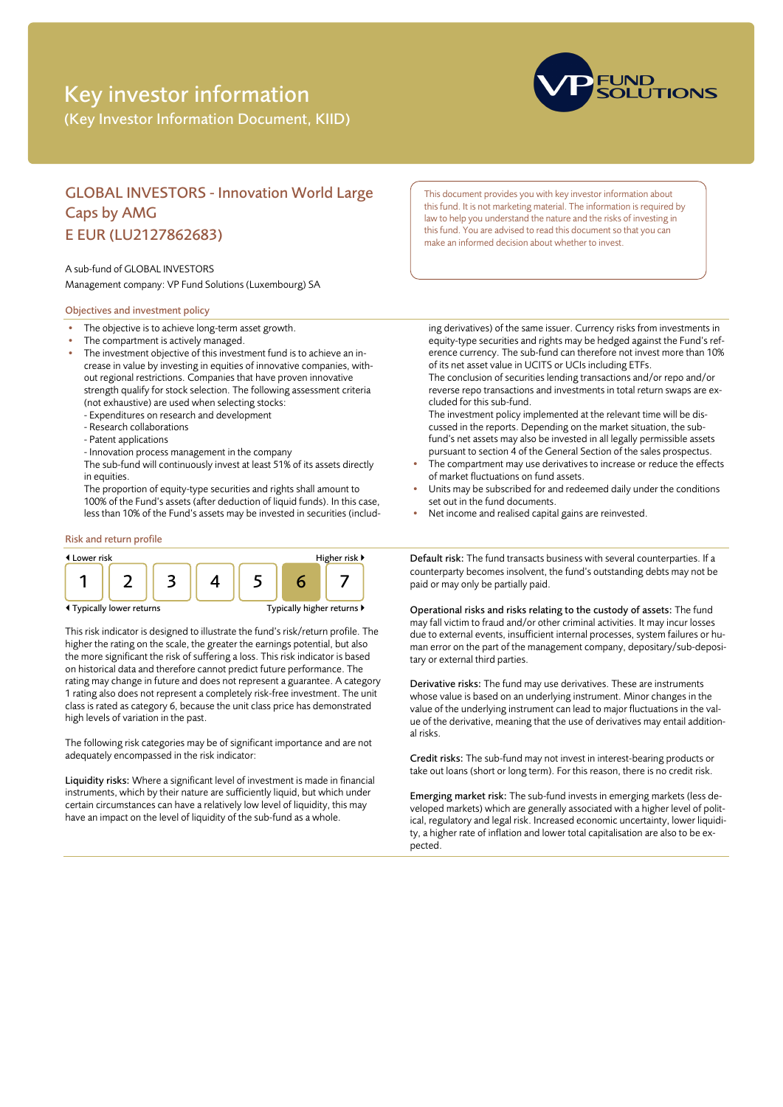# Key investor information

(Key Investor Information Document, KIID)



# GLOBAL INVESTORS - Innovation World Large Caps by AMG E EUR (LU2127862683)

#### A sub-fund of GLOBAL INVESTORS

Management company: VP Fund Solutions (Luxembourg) SA

## Objectives and investment policy

- The objective is to achieve long-term asset growth.
- The compartment is actively managed.
- The investment objective of this investment fund is to achieve an increase in value by investing in equities of innovative companies, without regional restrictions. Companies that have proven innovative strength qualify for stock selection. The following assessment criteria (not exhaustive) are used when selecting stocks:
	- Expenditures on research and development
	- Research collaborations
	- Patent applications
	- Innovation process management in the company
	- The sub-fund will continuously invest at least 51% of its assets directly in equities.

The proportion of equity-type securities and rights shall amount to 100% of the Fund's assets (after deduction of liquid funds). In this case, less than 10% of the Fund's assets may be invested in securities (includ-

## Risk and return profile



This risk indicator is designed to illustrate the fund's risk/return profile. The higher the rating on the scale, the greater the earnings potential, but also the more significant the risk of suffering a loss. This risk indicator is based on historical data and therefore cannot predict future performance. The rating may change in future and does not represent a guarantee. A category 1 rating also does not represent a completely risk-free investment. The unit class is rated as category 6, because the unit class price has demonstrated high levels of variation in the past.

The following risk categories may be of significant importance and are not adequately encompassed in the risk indicator:

Liquidity risks: Where a significant level of investment is made in financial instruments, which by their nature are sufficiently liquid, but which under certain circumstances can have a relatively low level of liquidity, this may have an impact on the level of liquidity of the sub-fund as a whole.

This document provides you with key investor information about this fund. It is not marketing material. The information is required by law to help you understand the nature and the risks of investing in this fund. You are advised to read this document so that you can make an informed decision about whether to invest.

ing derivatives) of the same issuer. Currency risks from investments in equity-type securities and rights may be hedged against the Fund's reference currency. The sub-fund can therefore not invest more than 10% of its net asset value in UCITS or UCIs including ETFs. The conclusion of securities lending transactions and/or repo and/or

reverse repo transactions and investments in total return swaps are excluded for this sub-fund.

The investment policy implemented at the relevant time will be discussed in the reports. Depending on the market situation, the subfund's net assets may also be invested in all legally permissible assets pursuant to section 4 of the General Section of the sales prospectus.

- The compartment may use derivatives to increase or reduce the effects of market fluctuations on fund assets.
- Units may be subscribed for and redeemed daily under the conditions set out in the fund documents.
- Net income and realised capital gains are reinvested.

Default risk: The fund transacts business with several counterparties. If a counterparty becomes insolvent, the fund's outstanding debts may not be paid or may only be partially paid.

Operational risks and risks relating to the custody of assets: The fund may fall victim to fraud and/or other criminal activities. It may incur losses due to external events, insufficient internal processes, system failures or human error on the part of the management company, depositary/sub-depositary or external third parties.

Derivative risks: The fund may use derivatives. These are instruments whose value is based on an underlying instrument. Minor changes in the value of the underlying instrument can lead to major fluctuations in the value of the derivative, meaning that the use of derivatives may entail additional risks.

Credit risks: The sub-fund may not invest in interest-bearing products or take out loans (short or long term). For this reason, there is no credit risk.

Emerging market risk: The sub-fund invests in emerging markets (less developed markets) which are generally associated with a higher level of political, regulatory and legal risk. Increased economic uncertainty, lower liquidity, a higher rate of inflation and lower total capitalisation are also to be expected.